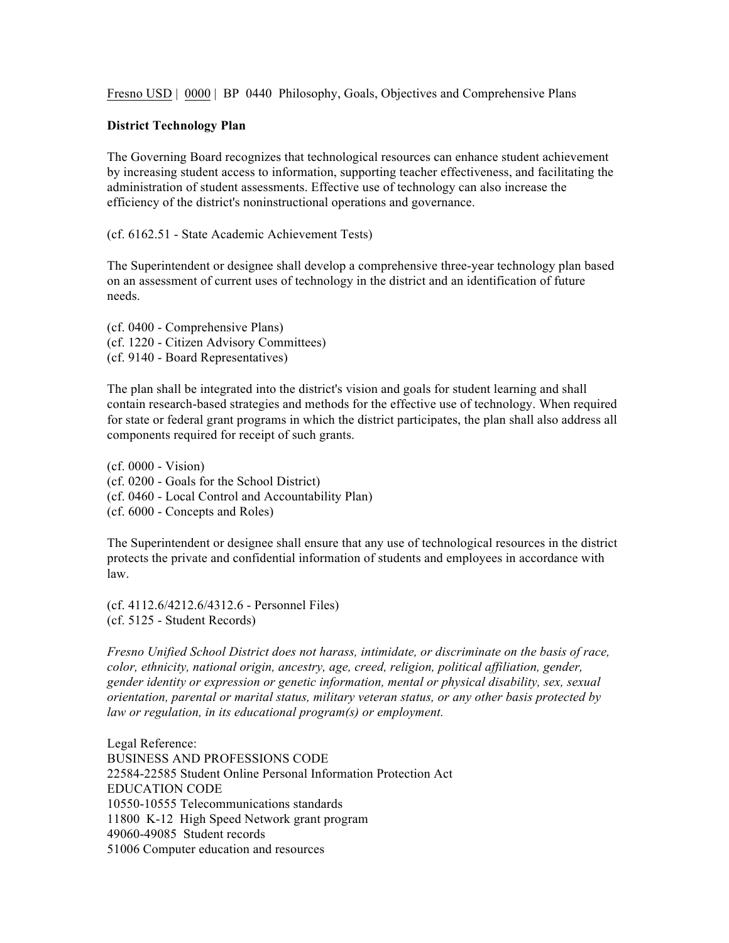Fresno USD | 0000 | BP 0440 Philosophy, Goals, Objectives and Comprehensive Plans

## **District Technology Plan**

The Governing Board recognizes that technological resources can enhance student achievement by increasing student access to information, supporting teacher effectiveness, and facilitating the administration of student assessments. Effective use of technology can also increase the efficiency of the district's noninstructional operations and governance.

(cf. 6162.51 - State Academic Achievement Tests)

The Superintendent or designee shall develop a comprehensive three-year technology plan based on an assessment of current uses of technology in the district and an identification of future needs.

(cf. 0400 - Comprehensive Plans) (cf. 1220 - Citizen Advisory Committees) (cf. 9140 - Board Representatives)

The plan shall be integrated into the district's vision and goals for student learning and shall contain research-based strategies and methods for the effective use of technology. When required for state or federal grant programs in which the district participates, the plan shall also address all components required for receipt of such grants.

(cf. 0000 - Vision) (cf. 0200 - Goals for the School District) (cf. 0460 - Local Control and Accountability Plan) (cf. 6000 - Concepts and Roles)

The Superintendent or designee shall ensure that any use of technological resources in the district protects the private and confidential information of students and employees in accordance with law.

(cf. 4112.6/4212.6/4312.6 - Personnel Files) (cf. 5125 - Student Records)

*Fresno Unified School District does not harass, intimidate, or discriminate on the basis of race, color, ethnicity, national origin, ancestry, age, creed, religion, political affiliation, gender, gender identity or expression or genetic information, mental or physical disability, sex, sexual orientation, parental or marital status, military veteran status, or any other basis protected by law or regulation, in its educational program(s) or employment.*

Legal Reference: BUSINESS AND PROFESSIONS CODE 22584-22585 Student Online Personal Information Protection Act EDUCATION CODE 10550-10555 Telecommunications standards 11800 K-12 High Speed Network grant program 49060-49085 Student records 51006 Computer education and resources